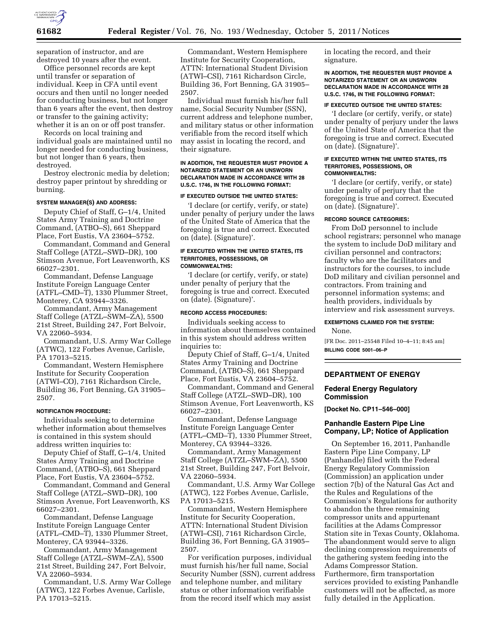

separation of instructor, and are destroyed 10 years after the event.

Office personnel records are kept until transfer or separation of individual. Keep in CFA until event occurs and then until no longer needed for conducting business, but not longer than 6 years after the event, then destroy or transfer to the gaining activity; whether it is an on or off post transfer.

Records on local training and individual goals are maintained until no longer needed for conducting business, but not longer than 6 years, then destroyed.

Destroy electronic media by deletion; destroy paper printout by shredding or burning.

### **SYSTEM MANAGER(S) AND ADDRESS:**

Deputy Chief of Staff, G–1/4, United States Army Training and Doctrine Command, (ATBO–S), 661 Sheppard Place, Fort Eustis, VA 23604–5752.

Commandant, Command and General Staff College (ATZL–SWD–DR), 100 Stimson Avenue, Fort Leavenworth, KS 66027–2301.

Commandant, Defense Language Institute Foreign Language Center (ATFL–CMD–T), 1330 Plummer Street, Monterey, CA 93944–3326.

Commandant, Army Management Staff College (ATZL–SWM–ZA), 5500 21st Street, Building 247, Fort Belvoir, VA 22060–5934.

Commandant, U.S. Army War College (ATWC), 122 Forbes Avenue, Carlisle, PA 17013–5215.

Commandant, Western Hemisphere Institute for Security Cooperation (ATWI–CO), 7161 Richardson Circle, Building 36, Fort Benning, GA 31905– 2507.

#### **NOTIFICATION PROCEDURE:**

Individuals seeking to determine whether information about themselves is contained in this system should address written inquiries to:

Deputy Chief of Staff, G–1/4, United States Army Training and Doctrine Command, (ATBO–S), 661 Sheppard Place, Fort Eustis, VA 23604–5752.

Commandant, Command and General Staff College (ATZL–SWD–DR), 100 Stimson Avenue, Fort Leavenworth, KS 66027–2301.

Commandant, Defense Language Institute Foreign Language Center (ATFL–CMD–T), 1330 Plummer Street, Monterey, CA 93944–3326.

Commandant, Army Management Staff College (ATZL–SWM–ZA), 5500 21st Street, Building 247, Fort Belvoir, VA 22060–5934.

Commandant, U.S. Army War College (ATWC), 122 Forbes Avenue, Carlisle, PA 17013–5215.

Commandant, Western Hemisphere Institute for Security Cooperation, ATTN: International Student Division (ATWI–CSI), 7161 Richardson Circle, Building 36, Fort Benning, GA 31905– 2507.

Individual must furnish his/her full name, Social Security Number (SSN), current address and telephone number, and military status or other information verifiable from the record itself which may assist in locating the record, and their signature.

## **IN ADDITION, THE REQUESTER MUST PROVIDE A NOTARIZED STATEMENT OR AN UNSWORN DECLARATION MADE IN ACCORDANCE WITH 28 U.S.C. 1746, IN THE FOLLOWING FORMAT:**

# **IF EXECUTED OUTSIDE THE UNITED STATES:**

'I declare (or certify, verify, or state) under penalty of perjury under the laws of the United State of America that the foregoing is true and correct. Executed on (date). (Signature)'.

### **IF EXECUTED WITHIN THE UNITED STATES, ITS TERRITORIES, POSSESSIONS, OR COMMONWEALTHS:**

'I declare (or certify, verify, or state) under penalty of perjury that the foregoing is true and correct. Executed on (date). (Signature)'.

## **RECORD ACCESS PROCEDURES:**

Individuals seeking access to information about themselves contained in this system should address written inquiries to:

Deputy Chief of Staff, G–1/4, United States Army Training and Doctrine Command, (ATBO–S), 661 Sheppard Place, Fort Eustis, VA 23604–5752.

Commandant, Command and General Staff College (ATZL–SWD–DR), 100 Stimson Avenue, Fort Leavenworth, KS 66027–2301.

Commandant, Defense Language Institute Foreign Language Center (ATFL–CMD–T), 1330 Plummer Street, Monterey, CA 93944–3326.

Commandant, Army Management Staff College (ATZL–SWM–ZA), 5500 21st Street, Building 247, Fort Belvoir, VA 22060–5934.

Commandant, U.S. Army War College (ATWC), 122 Forbes Avenue, Carlisle, PA 17013–5215.

Commandant, Western Hemisphere Institute for Security Cooperation, ATTN: International Student Division (ATWI–CSI), 7161 Richardson Circle, Building 36, Fort Benning, GA 31905– 2507.

For verification purposes, individual must furnish his/her full name, Social Security Number (SSN), current address and telephone number, and military status or other information verifiable from the record itself which may assist

in locating the record, and their signature.

**IN ADDITION, THE REQUESTER MUST PROVIDE A NOTARIZED STATEMENT OR AN UNSWORN DECLARATION MADE IN ACCORDANCE WITH 28 U.S.C. 1746, IN THE FOLLOWING FORMAT:** 

### **IF EXECUTED OUTSIDE THE UNITED STATES:**

'I declare (or certify, verify, or state) under penalty of perjury under the laws of the United State of America that the foregoing is true and correct. Executed on (date). (Signature)'.

### **IF EXECUTED WITHIN THE UNITED STATES, ITS TERRITORIES, POSSESSIONS, OR COMMONWEALTHS:**

'I declare (or certify, verify, or state) under penalty of perjury that the foregoing is true and correct. Executed on (date). (Signature)'.

## **RECORD SOURCE CATEGORIES:**

From DoD personnel to include school registrars; personnel who manage the system to include DoD military and civilian personnel and contractors; faculty who are the facilitators and instructors for the courses, to include DoD military and civilian personnel and contractors. From training and personnel information systems; and health providers, individuals by interview and risk assessment surveys.

# **EXEMPTIONS CLAIMED FOR THE SYSTEM:**

None.

[FR Doc. 2011–25548 Filed 10–4–11; 8:45 am] **BILLING CODE 5001–06–P** 

# **DEPARTMENT OF ENERGY**

## **Federal Energy Regulatory Commission**

**[Docket No. CP11–546–000]** 

# **Panhandle Eastern Pipe Line Company, LP; Notice of Application**

On September 16, 2011, Panhandle Eastern Pipe Line Company, LP (Panhandle) filed with the Federal Energy Regulatory Commission (Commission) an application under section 7(b) of the Natural Gas Act and the Rules and Regulations of the Commission's Regulations for authority to abandon the three remaining compressor units and appurtenant facilities at the Adams Compressor Station site in Texas County, Oklahoma. The abandonment would serve to align declining compression requirements of the gathering system feeding into the Adams Compressor Station. Furthermore, firm transportation services provided to existing Panhandle customers will not be affected, as more fully detailed in the Application.